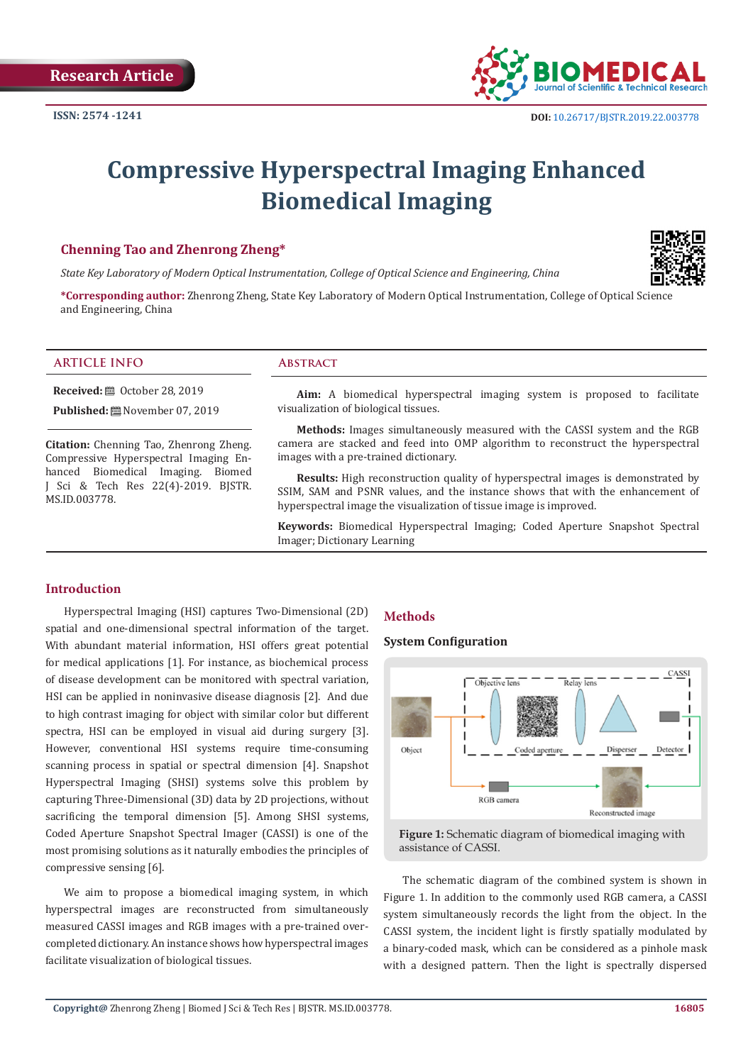

# **Compressive Hyperspectral Imaging Enhanced Biomedical Imaging**

# **Chenning Tao and Zhenrong Zheng\***

*State Key Laboratory of Modern Optical Instrumentation, College of Optical Science and Engineering, China*

**\*Corresponding author:** Zhenrong Zheng, State Key Laboratory of Modern Optical Instrumentation, College of Optical Science and Engineering, China

## **ARTICLE INFO Abstract**

**Received:** ■ October 28, 2019

**Published:** November 07, 2019

**Citation:** Chenning Tao, Zhenrong Zheng. Compressive Hyperspectral Imaging Enhanced Biomedical Imaging. Biomed J Sci & Tech Res 22(4)-2019. BJSTR. MS.ID.003778.

**Aim:** A biomedical hyperspectral imaging system is proposed to facilitate visualization of biological tissues.

**Methods:** Images simultaneously measured with the CASSI system and the RGB camera are stacked and feed into OMP algorithm to reconstruct the hyperspectral images with a pre-trained dictionary.

**Results:** High reconstruction quality of hyperspectral images is demonstrated by SSIM, SAM and PSNR values, and the instance shows that with the enhancement of hyperspectral image the visualization of tissue image is improved.

**Keywords:** Biomedical Hyperspectral Imaging; Coded Aperture Snapshot Spectral Imager; Dictionary Learning

## **Introduction**

Hyperspectral Imaging (HSI) captures Two-Dimensional (2D) spatial and one-dimensional spectral information of the target. With abundant material information, HSI offers great potential for medical applications [1]. For instance, as biochemical process of disease development can be monitored with spectral variation, HSI can be applied in noninvasive disease diagnosis [2]. And due to high contrast imaging for object with similar color but different spectra, HSI can be employed in visual aid during surgery [3]. However, conventional HSI systems require time-consuming scanning process in spatial or spectral dimension [4]. Snapshot Hyperspectral Imaging (SHSI) systems solve this problem by capturing Three-Dimensional (3D) data by 2D projections, without sacrificing the temporal dimension [5]. Among SHSI systems, Coded Aperture Snapshot Spectral Imager (CASSI) is one of the most promising solutions as it naturally embodies the principles of compressive sensing [6].

We aim to propose a biomedical imaging system, in which hyperspectral images are reconstructed from simultaneously measured CASSI images and RGB images with a pre-trained overcompleted dictionary. An instance shows how hyperspectral images facilitate visualization of biological tissues.

# **Methods**

# **System Configuration**



**Figure 1:** Schematic diagram of biomedical imaging with assistance of CASSI.

The schematic diagram of the combined system is shown in Figure 1. In addition to the commonly used RGB camera, a CASSI system simultaneously records the light from the object. In the CASSI system, the incident light is firstly spatially modulated by a binary-coded mask, which can be considered as a pinhole mask with a designed pattern. Then the light is spectrally dispersed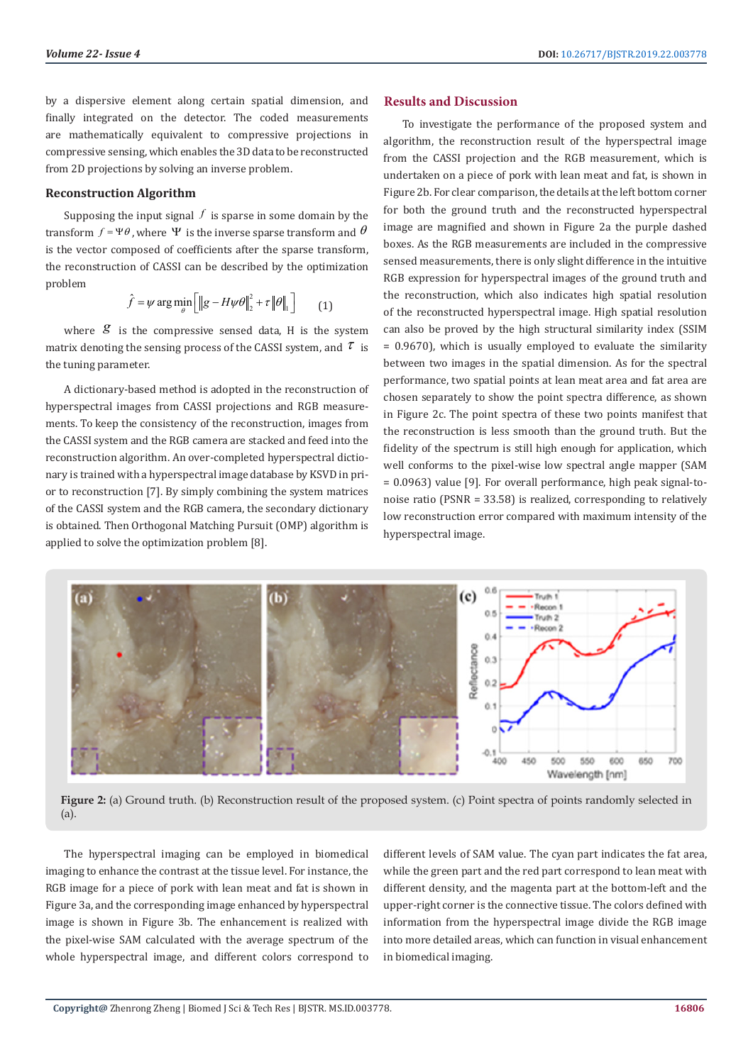by a dispersive element along certain spatial dimension, and finally integrated on the detector. The coded measurements are mathematically equivalent to compressive projections in compressive sensing, which enables the 3D data to be reconstructed from 2D projections by solving an inverse problem.

#### **Reconstruction Algorithm**

Supposing the input signal  $f$  is sparse in some domain by the transform  $f = \Psi \theta$ , where  $\Psi$  is the inverse sparse transform and  $\theta$ is the vector composed of coefficients after the sparse transform, the reconstruction of CASSI can be described by the optimization problem

$$
\hat{f} = \psi \arg \min_{\theta} \left[ \left\| g - H \psi \theta \right\|_{2}^{2} + \tau \left\| \theta \right\|_{1} \right] \tag{1}
$$

where  $g$  is the compressive sensed data. H is the system matrix denoting the sensing process of the CASSI system, and  $\tau$  is the tuning parameter.

A dictionary-based method is adopted in the reconstruction of hyperspectral images from CASSI projections and RGB measurements. To keep the consistency of the reconstruction, images from the CASSI system and the RGB camera are stacked and feed into the reconstruction algorithm. An over-completed hyperspectral dictionary is trained with a hyperspectral image database by KSVD in prior to reconstruction [7]. By simply combining the system matrices of the CASSI system and the RGB camera, the secondary dictionary is obtained. Then Orthogonal Matching Pursuit (OMP) algorithm is applied to solve the optimization problem [8].

#### **Results and Discussion**

To investigate the performance of the proposed system and algorithm, the reconstruction result of the hyperspectral image from the CASSI projection and the RGB measurement, which is undertaken on a piece of pork with lean meat and fat, is shown in Figure 2b. For clear comparison, the details at the left bottom corner for both the ground truth and the reconstructed hyperspectral image are magnified and shown in Figure 2a the purple dashed boxes. As the RGB measurements are included in the compressive sensed measurements, there is only slight difference in the intuitive RGB expression for hyperspectral images of the ground truth and the reconstruction, which also indicates high spatial resolution of the reconstructed hyperspectral image. High spatial resolution can also be proved by the high structural similarity index (SSIM = 0.9670), which is usually employed to evaluate the similarity between two images in the spatial dimension. As for the spectral performance, two spatial points at lean meat area and fat area are chosen separately to show the point spectra difference, as shown in Figure 2c. The point spectra of these two points manifest that the reconstruction is less smooth than the ground truth. But the fidelity of the spectrum is still high enough for application, which well conforms to the pixel-wise low spectral angle mapper (SAM = 0.0963) value [9]. For overall performance, high peak signal-tonoise ratio (PSNR = 33.58) is realized, corresponding to relatively low reconstruction error compared with maximum intensity of the hyperspectral image.



**Figure 2:** (a) Ground truth. (b) Reconstruction result of the proposed system. (c) Point spectra of points randomly selected in (a).

The hyperspectral imaging can be employed in biomedical imaging to enhance the contrast at the tissue level. For instance, the RGB image for a piece of pork with lean meat and fat is shown in Figure 3a, and the corresponding image enhanced by hyperspectral image is shown in Figure 3b. The enhancement is realized with the pixel-wise SAM calculated with the average spectrum of the whole hyperspectral image, and different colors correspond to

different levels of SAM value. The cyan part indicates the fat area, while the green part and the red part correspond to lean meat with different density, and the magenta part at the bottom-left and the upper-right corner is the connective tissue. The colors defined with information from the hyperspectral image divide the RGB image into more detailed areas, which can function in visual enhancement in biomedical imaging.